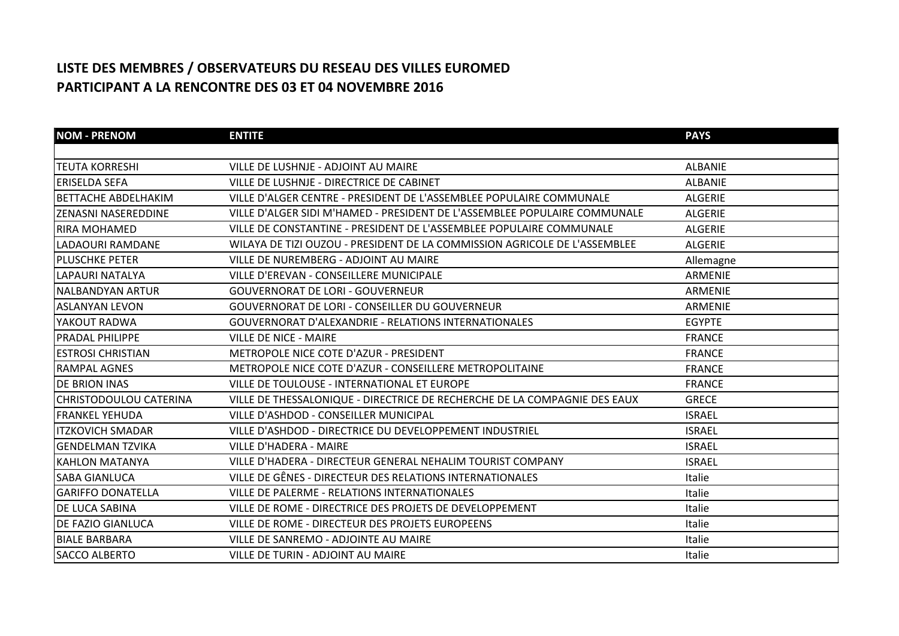## **LISTE DES MEMBRES / OBSERVATEURS DU RESEAU DES VILLES EUROMED PARTICIPANT A LA RENCONTRE DES 03 ET 04 NOVEMBRE 2016**

| <b>NOM - PRENOM</b>           | <b>ENTITE</b>                                                             | <b>PAYS</b>    |
|-------------------------------|---------------------------------------------------------------------------|----------------|
|                               |                                                                           |                |
| <b>TEUTA KORRESHI</b>         | VILLE DE LUSHNJE - ADJOINT AU MAIRE                                       | <b>ALBANIE</b> |
| <b>ERISELDA SEFA</b>          | VILLE DE LUSHNJE - DIRECTRICE DE CABINET                                  | <b>ALBANIE</b> |
| <b>BETTACHE ABDELHAKIM</b>    | VILLE D'ALGER CENTRE - PRESIDENT DE L'ASSEMBLEE POPULAIRE COMMUNALE       | <b>ALGERIE</b> |
| <b>ZENASNI NASEREDDINE</b>    | VILLE D'ALGER SIDI M'HAMED - PRESIDENT DE L'ASSEMBLEE POPULAIRE COMMUNALE | <b>ALGERIE</b> |
| <b>RIRA MOHAMED</b>           | VILLE DE CONSTANTINE - PRESIDENT DE L'ASSEMBLEE POPULAIRE COMMUNALE       | <b>ALGERIE</b> |
| LADAOURI RAMDANE              | WILAYA DE TIZI OUZOU - PRESIDENT DE LA COMMISSION AGRICOLE DE L'ASSEMBLEE | <b>ALGERIE</b> |
| <b>IPLUSCHKE PETER</b>        | VILLE DE NUREMBERG - ADJOINT AU MAIRE                                     | Allemagne      |
| LAPAURI NATALYA               | VILLE D'EREVAN - CONSEILLERE MUNICIPALE                                   | ARMENIE        |
| INALBANDYAN ARTUR             | <b>GOUVERNORAT DE LORI - GOUVERNEUR</b>                                   | <b>ARMENIE</b> |
| ASLANYAN LEVON                | <b>GOUVERNORAT DE LORI - CONSEILLER DU GOUVERNEUR</b>                     | <b>ARMENIE</b> |
| YAKOUT RADWA                  | <b>GOUVERNORAT D'ALEXANDRIE - RELATIONS INTERNATIONALES</b>               | <b>EGYPTE</b>  |
| IPRADAL PHILIPPE              | <b>VILLE DE NICE - MAIRE</b>                                              | <b>FRANCE</b>  |
| <b>IESTROSI CHRISTIAN</b>     | <b>METROPOLE NICE COTE D'AZUR - PRESIDENT</b>                             | <b>FRANCE</b>  |
| <b>RAMPAL AGNES</b>           | METROPOLE NICE COTE D'AZUR - CONSEILLERE METROPOLITAINE                   | <b>FRANCE</b>  |
| <b>DE BRION INAS</b>          | VILLE DE TOULOUSE - INTERNATIONAL ET EUROPE                               | <b>FRANCE</b>  |
| <b>CHRISTODOULOU CATERINA</b> | VILLE DE THESSALONIQUE - DIRECTRICE DE RECHERCHE DE LA COMPAGNIE DES EAUX | <b>GRECE</b>   |
| <b>IFRANKEL YEHUDA</b>        | VILLE D'ASHDOD - CONSEILLER MUNICIPAL                                     | <b>ISRAEL</b>  |
| litzkovich smadar             | VILLE D'ASHDOD - DIRECTRICE DU DEVELOPPEMENT INDUSTRIEL                   | <b>ISRAEL</b>  |
| <b>IGENDELMAN TZVIKA</b>      | <b>VILLE D'HADERA - MAIRE</b>                                             | <b>ISRAEL</b>  |
| <b>IKAHLON MATANYA</b>        | VILLE D'HADERA - DIRECTEUR GENERAL NEHALIM TOURIST COMPANY                | <b>ISRAEL</b>  |
| <b>SABA GIANLUCA</b>          | VILLE DE GÊNES - DIRECTEUR DES RELATIONS INTERNATIONALES                  | Italie         |
| <b>GARIFFO DONATELLA</b>      | VILLE DE PALERME - RELATIONS INTERNATIONALES                              | Italie         |
| <b>DE LUCA SABINA</b>         | VILLE DE ROME - DIRECTRICE DES PROJETS DE DEVELOPPEMENT                   | <b>Italie</b>  |
| IDE FAZIO GIANLUCA            | VILLE DE ROME - DIRECTEUR DES PROJETS EUROPEENS                           | Italie         |
| <b>BIALE BARBARA</b>          | VILLE DE SANREMO - ADJOINTE AU MAIRE                                      | Italie         |
| <b>SACCO ALBERTO</b>          | VILLE DE TURIN - ADJOINT AU MAIRE                                         | <b>Italie</b>  |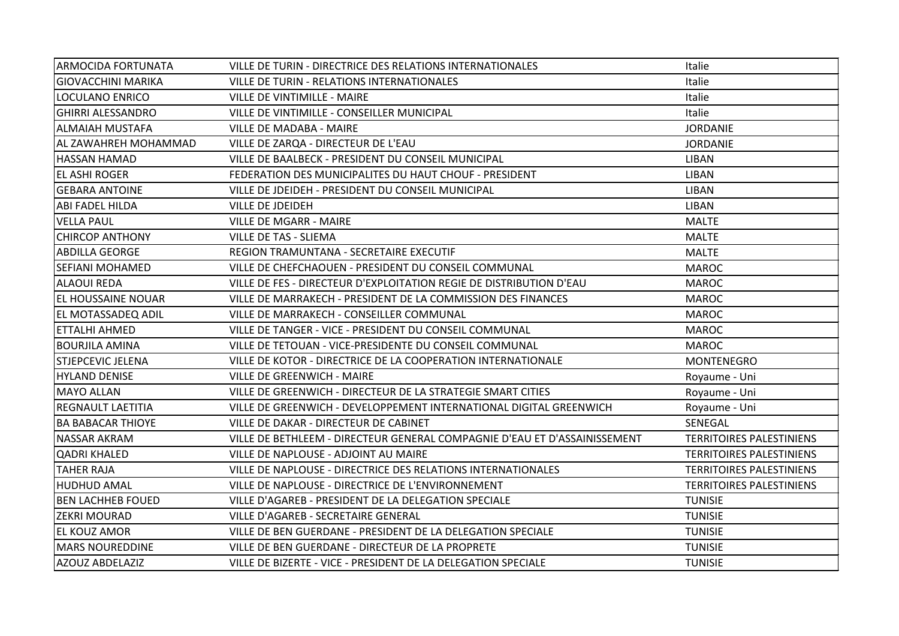| <b>ARMOCIDA FORTUNATA</b> | VILLE DE TURIN - DIRECTRICE DES RELATIONS INTERNATIONALES                 | Italie                          |
|---------------------------|---------------------------------------------------------------------------|---------------------------------|
| GIOVACCHINI MARIKA        | <b>VILLE DE TURIN - RELATIONS INTERNATIONALES</b>                         | Italie                          |
| LOCULANO ENRICO           | VILLE DE VINTIMILLE - MAIRE                                               | Italie                          |
| <b>GHIRRI ALESSANDRO</b>  | VILLE DE VINTIMILLE - CONSEILLER MUNICIPAL                                | Italie                          |
| ALMAIAH MUSTAFA           | <b>VILLE DE MADABA - MAIRE</b>                                            | <b>JORDANIE</b>                 |
| AL ZAWAHREH MOHAMMAD      | VILLE DE ZARQA - DIRECTEUR DE L'EAU                                       | <b>JORDANIE</b>                 |
| <b>HASSAN HAMAD</b>       | VILLE DE BAALBECK - PRESIDENT DU CONSEIL MUNICIPAL                        | <b>LIBAN</b>                    |
| <b>EL ASHI ROGER</b>      | FEDERATION DES MUNICIPALITES DU HAUT CHOUF - PRESIDENT                    | <b>LIBAN</b>                    |
| <b>GEBARA ANTOINE</b>     | VILLE DE JDEIDEH - PRESIDENT DU CONSEIL MUNICIPAL                         | <b>LIBAN</b>                    |
| ABI FADEL HILDA           | VILLE DE JDEIDEH                                                          | <b>LIBAN</b>                    |
| <b>VELLA PAUL</b>         | <b>VILLE DE MGARR - MAIRE</b>                                             | <b>MALTE</b>                    |
| <b>CHIRCOP ANTHONY</b>    | <b>VILLE DE TAS - SLIEMA</b>                                              | <b>MALTE</b>                    |
| <b>ABDILLA GEORGE</b>     | REGION TRAMUNTANA - SECRETAIRE EXECUTIF                                   | <b>MALTE</b>                    |
| <b>SEFIANI MOHAMED</b>    | VILLE DE CHEFCHAOUEN - PRESIDENT DU CONSEIL COMMUNAL                      | <b>MAROC</b>                    |
| <b>ALAOUI REDA</b>        | VILLE DE FES - DIRECTEUR D'EXPLOITATION REGIE DE DISTRIBUTION D'EAU       | <b>MAROC</b>                    |
| <b>EL HOUSSAINE NOUAR</b> | VILLE DE MARRAKECH - PRESIDENT DE LA COMMISSION DES FINANCES              | <b>MAROC</b>                    |
| <b>EL MOTASSADEQ ADIL</b> | VILLE DE MARRAKECH - CONSEILLER COMMUNAL                                  | <b>MAROC</b>                    |
| ETTALHI AHMED             | VILLE DE TANGER - VICE - PRESIDENT DU CONSEIL COMMUNAL                    | <b>MAROC</b>                    |
| <b>BOURJILA AMINA</b>     | VILLE DE TETOUAN - VICE-PRESIDENTE DU CONSEIL COMMUNAL                    | <b>MAROC</b>                    |
| <b>STJEPCEVIC JELENA</b>  | VILLE DE KOTOR - DIRECTRICE DE LA COOPERATION INTERNATIONALE              | <b>MONTENEGRO</b>               |
| <b>HYLAND DENISE</b>      | <b>VILLE DE GREENWICH - MAIRE</b>                                         | Royaume - Uni                   |
| <b>MAYO ALLAN</b>         | VILLE DE GREENWICH - DIRECTEUR DE LA STRATEGIE SMART CITIES               | Royaume - Uni                   |
| <b>REGNAULT LAETITIA</b>  | VILLE DE GREENWICH - DEVELOPPEMENT INTERNATIONAL DIGITAL GREENWICH        | Royaume - Uni                   |
| <b>BA BABACAR THIOYE</b>  | VILLE DE DAKAR - DIRECTEUR DE CABINET                                     | SENEGAL                         |
| <b>NASSAR AKRAM</b>       | VILLE DE BETHLEEM - DIRECTEUR GENERAL COMPAGNIE D'EAU ET D'ASSAINISSEMENT | <b>TERRITOIRES PALESTINIENS</b> |
| <b>QADRI KHALED</b>       | VILLE DE NAPLOUSE - ADJOINT AU MAIRE                                      | <b>TERRITOIRES PALESTINIENS</b> |
| <b>TAHER RAJA</b>         | VILLE DE NAPLOUSE - DIRECTRICE DES RELATIONS INTERNATIONALES              | <b>TERRITOIRES PALESTINIENS</b> |
| <b>HUDHUD AMAL</b>        | VILLE DE NAPLOUSE - DIRECTRICE DE L'ENVIRONNEMENT                         | <b>TERRITOIRES PALESTINIENS</b> |
| <b>BEN LACHHEB FOUED</b>  | VILLE D'AGAREB - PRESIDENT DE LA DELEGATION SPECIALE                      | <b>TUNISIE</b>                  |
| <b>ZEKRI MOURAD</b>       | VILLE D'AGAREB - SECRETAIRE GENERAL                                       | <b>TUNISIE</b>                  |
| <b>EL KOUZ AMOR</b>       | VILLE DE BEN GUERDANE - PRESIDENT DE LA DELEGATION SPECIALE               | <b>TUNISIE</b>                  |
| <b>MARS NOUREDDINE</b>    | VILLE DE BEN GUERDANE - DIRECTEUR DE LA PROPRETE                          | <b>TUNISIE</b>                  |
| <b>AZOUZ ABDELAZIZ</b>    | VILLE DE BIZERTE - VICE - PRESIDENT DE LA DELEGATION SPECIALE             | <b>TUNISIE</b>                  |